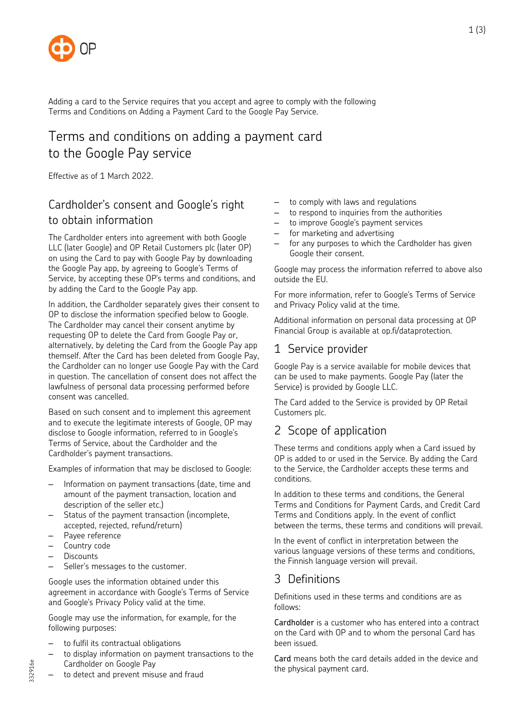

Adding a card to the Service requires that you accept and agree to comply with the following Terms and Conditions on Adding a Payment Card to the Google Pay Service.

# Terms and conditions on adding a payment card to the Google Pay service

Effective as of 1 March 2022.

# Cardholder's consent and Google's right to obtain information

The Cardholder enters into agreement with both Google LLC (later Google) and OP Retail Customers plc (later OP) on using the Card to pay with Google Pay by downloading the Google Pay app, by agreeing to Google's Terms of Service, by accepting these OP's terms and conditions, and by adding the Card to the Google Pay app.

In addition, the Cardholder separately gives their consent to OP to disclose the information specified below to Google. The Cardholder may cancel their consent anytime by requesting OP to delete the Card from Google Pay or, alternatively, by deleting the Card from the Google Pay app themself. After the Card has been deleted from Google Pay, the Cardholder can no longer use Google Pay with the Card in question. The cancellation of consent does not affect the lawfulness of personal data processing performed before consent was cancelled.

Based on such consent and to implement this agreement and to execute the legitimate interests of Google, OP may disclose to Google information, referred to in Google's Terms of Service, about the Cardholder and the Cardholder's payment transactions.

Examples of information that may be disclosed to Google:

- Information on payment transactions (date, time and amount of the payment transaction, location and description of the seller etc.)
- Status of the payment transaction (incomplete, accepted, rejected, refund/return)
- Payee reference
- Country code
- Discounts

332916e

Seller's messages to the customer.

Google uses the information obtained under this agreement in accordance with Google's Terms of Service and Google's Privacy Policy valid at the time.

Google may use the information, for example, for the following purposes:

- to fulfil its contractual obligations
- to display information on payment transactions to the Cardholder on Google Pay
- to detect and prevent misuse and fraud
- to comply with laws and regulations
- to respond to inquiries from the authorities
- to improve Google's payment services
- for marketing and advertising
- for any purposes to which the Cardholder has given Google their consent.

Google may process the information referred to above also outside the EU.

For more information, refer to Google's Terms of Service and Privacy Policy valid at the time.

Additional information on personal data processing at OP Financial Group is available at op.fi/dataprotection.

#### 1 Service provider

Google Pay is a service available for mobile devices that can be used to make payments. Google Pay (later the Service) is provided by Google LLC.

The Card added to the Service is provided by OP Retail Customers plc.

#### 2 Scope of application

These terms and conditions apply when a Card issued by OP is added to or used in the Service. By adding the Card to the Service, the Cardholder accepts these terms and conditions.

In addition to these terms and conditions, the General Terms and Conditions for Payment Cards, and Credit Card Terms and Conditions apply. In the event of conflict between the terms, these terms and conditions will prevail.

In the event of conflict in interpretation between the various language versions of these terms and conditions, the Finnish language version will prevail.

# 3 Definitions

Definitions used in these terms and conditions are as follows:

Cardholder is a customer who has entered into a contract on the Card with OP and to whom the personal Card has been issued.

Card means both the card details added in the device and the physical payment card.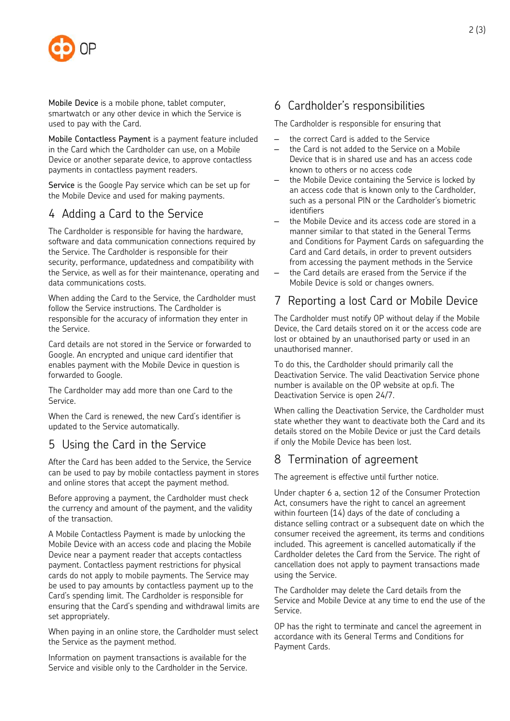

Mobile Device is a mobile phone, tablet computer, smartwatch or any other device in which the Service is used to pay with the Card.

Mobile Contactless Payment is a payment feature included in the Card which the Cardholder can use, on a Mobile Device or another separate device, to approve contactless payments in contactless payment readers.

Service is the Google Pay service which can be set up for the Mobile Device and used for making payments.

### 4 Adding a Card to the Service

The Cardholder is responsible for having the hardware, software and data communication connections required by the Service. The Cardholder is responsible for their security, performance, updatedness and compatibility with the Service, as well as for their maintenance, operating and data communications costs.

When adding the Card to the Service, the Cardholder must follow the Service instructions. The Cardholder is responsible for the accuracy of information they enter in the Service.

Card details are not stored in the Service or forwarded to Google. An encrypted and unique card identifier that enables payment with the Mobile Device in question is forwarded to Google.

The Cardholder may add more than one Card to the Service.

When the Card is renewed, the new Card's identifier is updated to the Service automatically.

# 5 Using the Card in the Service

After the Card has been added to the Service, the Service can be used to pay by mobile contactless payment in stores and online stores that accept the payment method.

Before approving a payment, the Cardholder must check the currency and amount of the payment, and the validity of the transaction.

A Mobile Contactless Payment is made by unlocking the Mobile Device with an access code and placing the Mobile Device near a payment reader that accepts contactless payment. Contactless payment restrictions for physical cards do not apply to mobile payments. The Service may be used to pay amounts by contactless payment up to the Card's spending limit. The Cardholder is responsible for ensuring that the Card's spending and withdrawal limits are set appropriately.

When paying in an online store, the Cardholder must select the Service as the payment method.

Information on payment transactions is available for the Service and visible only to the Cardholder in the Service.

### 6 Cardholder's responsibilities

The Cardholder is responsible for ensuring that

- the correct Card is added to the Service
- the Card is not added to the Service on a Mobile Device that is in shared use and has an access code known to others or no access code
- the Mobile Device containing the Service is locked by an access code that is known only to the Cardholder, such as a personal PIN or the Cardholder's biometric identifiers
- the Mobile Device and its access code are stored in a manner similar to that stated in the General Terms and Conditions for Payment Cards on safeguarding the Card and Card details, in order to prevent outsiders from accessing the payment methods in the Service
- the Card details are erased from the Service if the Mobile Device is sold or changes owners.

# 7 Reporting a lost Card or Mobile Device

The Cardholder must notify OP without delay if the Mobile Device, the Card details stored on it or the access code are lost or obtained by an unauthorised party or used in an unauthorised manner.

To do this, the Cardholder should primarily call the Deactivation Service. The valid Deactivation Service phone number is available on the OP website at op.fi. The Deactivation Service is open 24/7.

When calling the Deactivation Service, the Cardholder must state whether they want to deactivate both the Card and its details stored on the Mobile Device or just the Card details if only the Mobile Device has been lost.

# 8 Termination of agreement

The agreement is effective until further notice.

Under chapter 6 a, section 12 of the Consumer Protection Act, consumers have the right to cancel an agreement within fourteen (14) days of the date of concluding a distance selling contract or a subsequent date on which the consumer received the agreement, its terms and conditions included. This agreement is cancelled automatically if the Cardholder deletes the Card from the Service. The right of cancellation does not apply to payment transactions made using the Service.

The Cardholder may delete the Card details from the Service and Mobile Device at any time to end the use of the Service.

OP has the right to terminate and cancel the agreement in accordance with its General Terms and Conditions for Payment Cards.